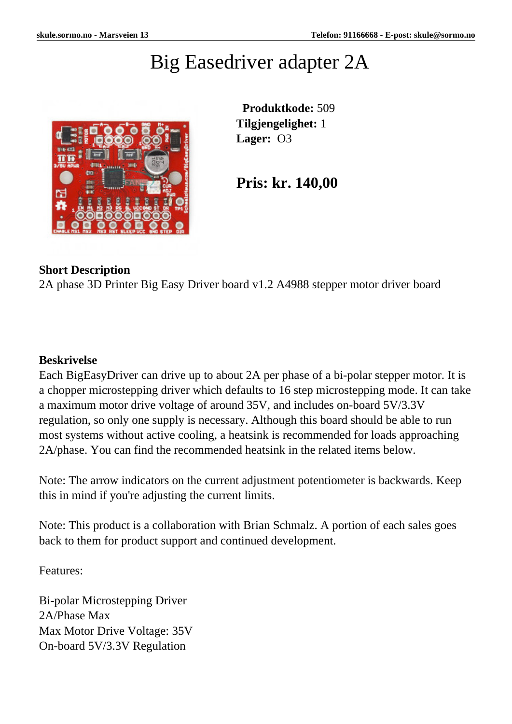## Big Easedriver adapter 2A



 **Produktkode:** 509 **Tilgjengelighet:** 1 **Lager:** O3

**Pris: kr. 140,00**

## **Short Description**

2A phase 3D Printer Big Easy Driver board v1.2 A4988 stepper motor driver board

## **Beskrivelse**

Each BigEasyDriver can drive up to about 2A per phase of a bi-polar stepper motor. It is a chopper microstepping driver which defaults to 16 step microstepping mode. It can take a maximum motor drive voltage of around 35V, and includes on-board 5V/3.3V regulation, so only one supply is necessary. Although this board should be able to run most systems without active cooling, a heatsink is recommended for loads approaching 2A/phase. You can find the recommended heatsink in the related items below.

Note: The arrow indicators on the current adjustment potentiometer is backwards. Keep this in mind if you're adjusting the current limits.

Note: This product is a collaboration with Brian Schmalz. A portion of each sales goes back to them for product support and continued development.

Features:

Bi-polar Microstepping Driver 2A/Phase Max Max Motor Drive Voltage: 35V On-board 5V/3.3V Regulation